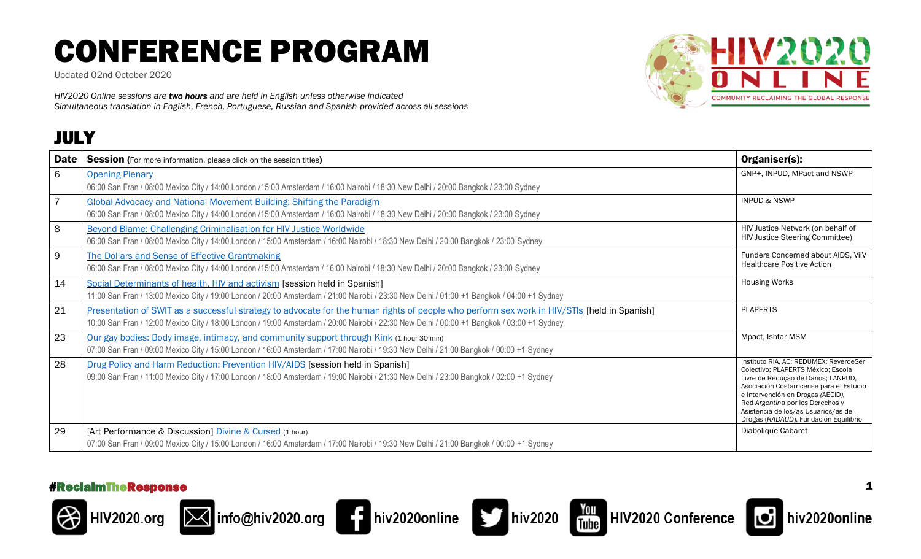Updated 02nd October 2020

*HIV2020 Online sessions are two hours and are held in English unless otherwise indicated Simultaneous translation in English, French, Portuguese, Russian and Spanish provided across all sessions*

### JULY

















hiv2020online

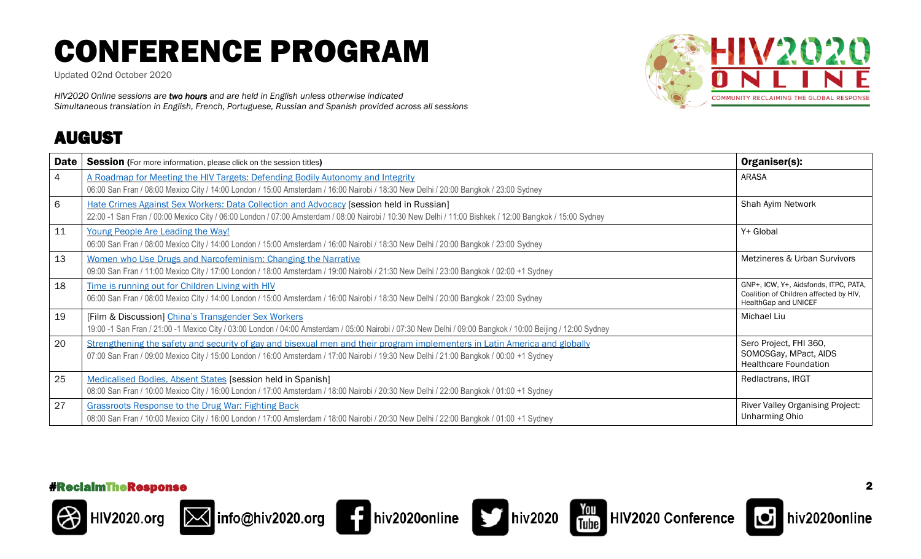Updated 02nd October 2020

*HIV2020 Online sessions are two hours and are held in English unless otherwise indicated Simultaneous translation in English, French, Portuguese, Russian and Spanish provided across all sessions*

### AUGUST



| <b>Date</b>     | <b>Session</b> (For more information, please click on the session titles)                                                                                                                                                                                             | Organiser(s):                                                                                           |
|-----------------|-----------------------------------------------------------------------------------------------------------------------------------------------------------------------------------------------------------------------------------------------------------------------|---------------------------------------------------------------------------------------------------------|
| $\overline{4}$  | A Roadmap for Meeting the HIV Targets: Defending Bodily Autonomy and Integrity<br>06:00 San Fran / 08:00 Mexico City / 14:00 London / 15:00 Amsterdam / 16:00 Nairobi / 18:30 New Delhi / 20:00 Bangkok / 23:00 Sydney                                                | <b>ARASA</b>                                                                                            |
| $6\phantom{1}6$ | Hate Crimes Against Sex Workers: Data Collection and Advocacy [session held in Russian]<br>22:00 -1 San Fran / 00:00 Mexico City / 06:00 London / 07:00 Amsterdam / 08:00 Nairobi / 10:30 New Delhi / 11:00 Bishkek / 12:00 Bangkok / 15:00 Sydney                    | Shah Ayim Network                                                                                       |
| 11              | Young People Are Leading the Way!<br>06:00 San Fran / 08:00 Mexico City / 14:00 London / 15:00 Amsterdam / 16:00 Nairobi / 18:30 New Delhi / 20:00 Bangkok / 23:00 Sydney                                                                                             | Y+ Global                                                                                               |
| 13              | Women who Use Drugs and Narcofeminism: Changing the Narrative<br>09:00 San Fran / 11:00 Mexico City / 17:00 London / 18:00 Amsterdam / 19:00 Nairobi / 21:30 New Delhi / 23:00 Bangkok / 02:00 +1 Sydney                                                              | Metzineres & Urban Survivors                                                                            |
| 18              | Time is running out for Children Living with HIV<br>06:00 San Fran / 08:00 Mexico City / 14:00 London / 15:00 Amsterdam / 16:00 Nairobi / 18:30 New Delhi / 20:00 Bangkok / 23:00 Sydney                                                                              | GNP+, ICW, Y+, Aidsfonds, ITPC, PATA,<br>Coalition of Children affected by HIV,<br>HealthGap and UNICEF |
| 19              | [Film & Discussion] China's Transgender Sex Workers<br>19:00 -1 San Fran / 21:00 -1 Mexico City / 03:00 London / 04:00 Amsterdam / 05:00 Nairobi / 07:30 New Delhi / 09:00 Bangkok / 10:00 Beijing / 12:00 Sydney                                                     | Michael Liu                                                                                             |
| 20              | Strengthening the safety and security of gay and bisexual men and their program implementers in Latin America and globally<br>07:00 San Fran / 09:00 Mexico City / 15:00 London / 16:00 Amsterdam / 17:00 Nairobi / 19:30 New Delhi / 21:00 Bangkok / 00:00 +1 Sydney | Sero Project, FHI 360,<br>SOMOSGay, MPact, AIDS<br><b>Healthcare Foundation</b>                         |
| 25              | Medicalised Bodies, Absent States [session held in Spanish]<br>08:00 San Fran / 10:00 Mexico City / 16:00 London / 17:00 Amsterdam / 18:00 Nairobi / 20:30 New Delhi / 22:00 Bangkok / 01:00 +1 Sydney                                                                | Redlactrans, IRGT                                                                                       |
| 27              | <b>Grassroots Response to the Drug War: Fighting Back</b><br>08:00 San Fran / 10:00 Mexico City / 16:00 London / 17:00 Amsterdam / 18:00 Nairobi / 20:30 New Delhi / 22:00 Bangkok / 01:00 +1 Sydney                                                                  | River Valley Organising Project:<br><b>Unharming Ohio</b>                                               |













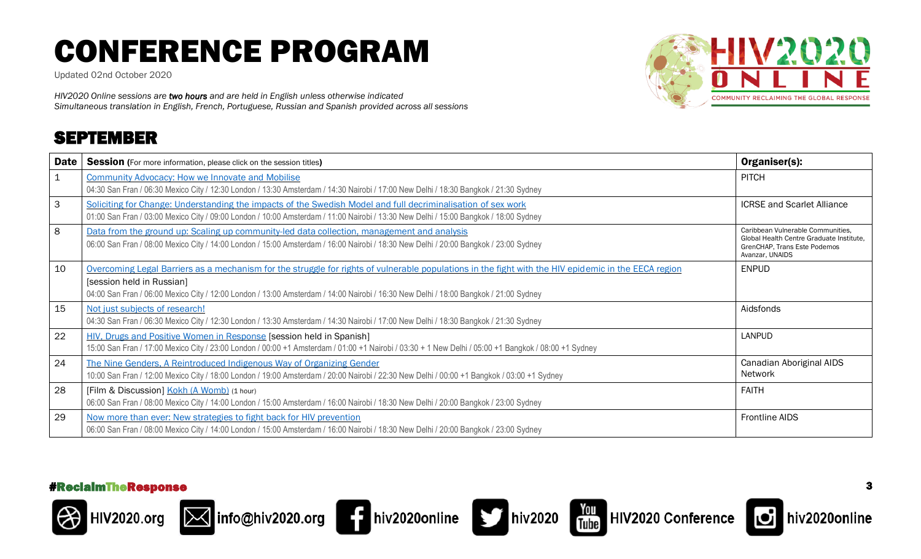Updated 02nd October 2020

*HIV2020 Online sessions are two hours and are held in English unless otherwise indicated Simultaneous translation in English, French, Portuguese, Russian and Spanish provided across all sessions*

### SEPTEMBER



| <b>Date</b>  | <b>Session</b> (For more information, please click on the session titles)                                                                                                                                                                                                                                                 | Organiser(s):                                                                                                                    |
|--------------|---------------------------------------------------------------------------------------------------------------------------------------------------------------------------------------------------------------------------------------------------------------------------------------------------------------------------|----------------------------------------------------------------------------------------------------------------------------------|
| $\mathbf{1}$ | <b>Community Advocacy: How we Innovate and Mobilise</b><br>04:30 San Fran / 06:30 Mexico City / 12:30 London / 13:30 Amsterdam / 14:30 Nairobi / 17:00 New Delhi / 18:30 Bangkok / 21:30 Sydney                                                                                                                           | <b>PITCH</b>                                                                                                                     |
| 3            | Soliciting for Change: Understanding the impacts of the Swedish Model and full decriminalisation of sex work<br>01:00 San Fran / 03:00 Mexico City / 09:00 London / 10:00 Amsterdam / 11:00 Nairobi / 13:30 New Delhi / 15:00 Bangkok / 18:00 Sydney                                                                      | <b>ICRSE and Scarlet Alliance</b>                                                                                                |
| 8            | Data from the ground up: Scaling up community-led data collection, management and analysis<br>06:00 San Fran / 08:00 Mexico City / 14:00 London / 15:00 Amsterdam / 16:00 Nairobi / 18:30 New Delhi / 20:00 Bangkok / 23:00 Sydney                                                                                        | Caribbean Vulnerable Communities.<br>Global Health Centre Graduate Institute.<br>GrenCHAP, Trans Este Podemos<br>Avanzar, UNAIDS |
| 10           | Overcoming Legal Barriers as a mechanism for the struggle for rights of vulnerable populations in the fight with the HIV epidemic in the EECA region<br>[session held in Russian]<br>04:00 San Fran / 06:00 Mexico City / 12:00 London / 13:00 Amsterdam / 14:00 Nairobi / 16:30 New Delhi / 18:00 Bangkok / 21:00 Sydney | <b>ENPUD</b>                                                                                                                     |
| 15           | Not just subjects of research!<br>04:30 San Fran / 06:30 Mexico City / 12:30 London / 13:30 Amsterdam / 14:30 Nairobi / 17:00 New Delhi / 18:30 Bangkok / 21:30 Sydney                                                                                                                                                    | Aidsfonds                                                                                                                        |
| 22           | HIV, Drugs and Positive Women in Response [session held in Spanish]<br>15:00 San Fran / 17:00 Mexico City / 23:00 London / 00:00 +1 Amsterdam / 01:00 +1 Nairobi / 03:30 + 1 New Delhi / 05:00 +1 Bangkok / 08:00 +1 Sydney                                                                                               | LANPUD                                                                                                                           |
| 24           | The Nine Genders, A Reintroduced Indigenous Way of Organizing Gender<br>10:00 San Fran / 12:00 Mexico City / 18:00 London / 19:00 Amsterdam / 20:00 Nairobi / 22:30 New Delhi / 00:00 +1 Bangkok / 03:00 +1 Sydney                                                                                                        | Canadian Aboriginal AIDS<br><b>Network</b>                                                                                       |
| 28           | [Film & Discussion] Kokh (A Womb) (1 hour)<br>06:00 San Fran / 08:00 Mexico City / 14:00 London / 15:00 Amsterdam / 16:00 Nairobi / 18:30 New Delhi / 20:00 Bangkok / 23:00 Sydney                                                                                                                                        | <b>FAITH</b>                                                                                                                     |
| 29           | Now more than ever: New strategies to fight back for HIV prevention<br>06:00 San Fran / 08:00 Mexico City / 14:00 London / 15:00 Amsterdam / 16:00 Nairobi / 18:30 New Delhi / 20:00 Bangkok / 23:00 Sydney                                                                                                               | Frontline AIDS                                                                                                                   |

#### #ReclaimTheResponse 3













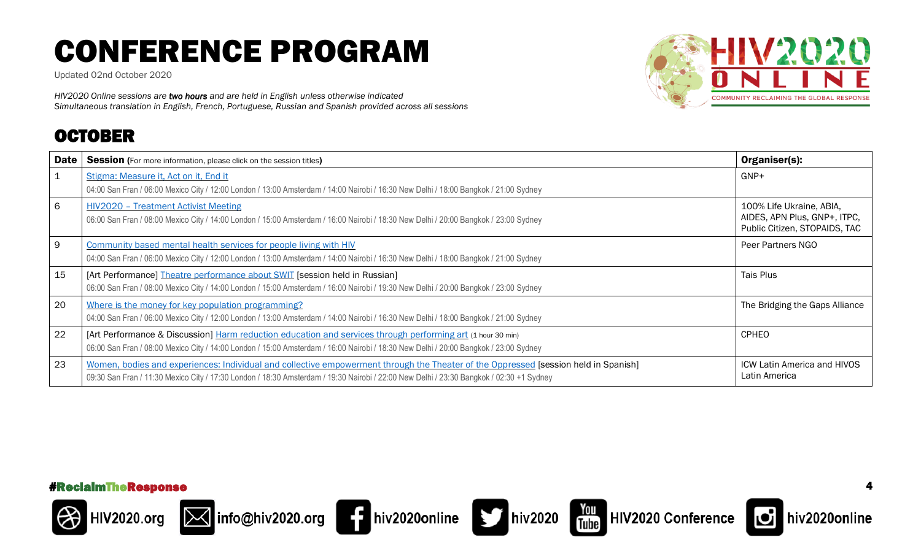Updated 02nd October 2020

*HIV2020 Online sessions are two hours and are held in English unless otherwise indicated Simultaneous translation in English, French, Portuguese, Russian and Spanish provided across all sessions*

### OCTOBER



| <b>Date</b>  | <b>Session</b> (For more information, please click on the session titles)                                                                                                           | Organiser(s):                                                                             |
|--------------|-------------------------------------------------------------------------------------------------------------------------------------------------------------------------------------|-------------------------------------------------------------------------------------------|
| $\mathbf{1}$ | Stigma: Measure it, Act on it, End it                                                                                                                                               | GNP+                                                                                      |
|              | 04:00 San Fran / 06:00 Mexico City / 12:00 London / 13:00 Amsterdam / 14:00 Nairobi / 16:30 New Delhi / 18:00 Bangkok / 21:00 Sydney                                                |                                                                                           |
| 6            | <b>HIV2020 - Treatment Activist Meeting</b><br>06:00 San Fran / 08:00 Mexico City / 14:00 London / 15:00 Amsterdam / 16:00 Nairobi / 18:30 New Delhi / 20:00 Bangkok / 23:00 Sydney | 100% Life Ukraine, ABIA,<br>AIDES, APN Plus, GNP+, ITPC,<br>Public Citizen, STOPAIDS, TAC |
| 9            | Community based mental health services for people living with HIV                                                                                                                   | Peer Partners NGO                                                                         |
|              | 04:00 San Fran / 06:00 Mexico City / 12:00 London / 13:00 Amsterdam / 14:00 Nairobi / 16:30 New Delhi / 18:00 Bangkok / 21:00 Sydney                                                |                                                                                           |
| 15           | [Art Performance] Theatre performance about SWIT [session held in Russian]                                                                                                          | Tais Plus                                                                                 |
|              | 06:00 San Fran / 08:00 Mexico City / 14:00 London / 15:00 Amsterdam / 16:00 Nairobi / 19:30 New Delhi / 20:00 Bangkok / 23:00 Sydney                                                |                                                                                           |
| 20           | Where is the money for key population programming?                                                                                                                                  | The Bridging the Gaps Alliance                                                            |
|              | 04:00 San Fran / 06:00 Mexico City / 12:00 London / 13:00 Amsterdam / 14:00 Nairobi / 16:30 New Delhi / 18:00 Bangkok / 21:00 Sydney                                                |                                                                                           |
| 22           | [Art Performance & Discussion] Harm reduction education and services through performing art (1 hour 30 min)                                                                         | <b>CPHEO</b>                                                                              |
|              | 06:00 San Fran / 08:00 Mexico City / 14:00 London / 15:00 Amsterdam / 16:00 Nairobi / 18:30 New Delhi / 20:00 Bangkok / 23:00 Sydney                                                |                                                                                           |
| 23           | Women, bodies and experiences: Individual and collective empowerment through the Theater of the Oppressed [session held in Spanish]                                                 | <b>ICW Latin America and HIVOS</b>                                                        |
|              | 09:30 San Fran / 11:30 Mexico City / 17:30 London / 18:30 Amsterdam / 19:30 Nairobi / 22:00 New Delhi / 23:30 Bangkok / 02:30 +1 Sydney                                             | Latin America                                                                             |

#### #ReclaimTheResponse 4